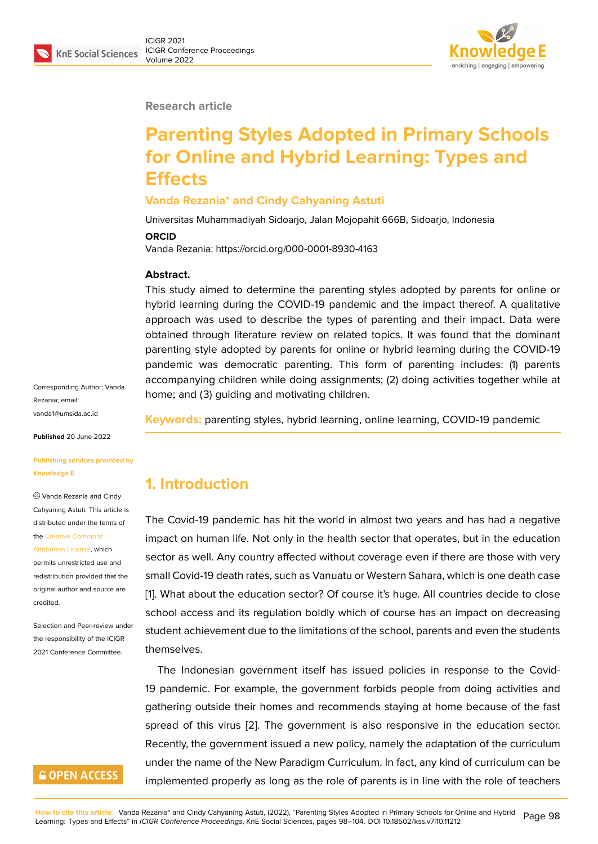#### **Research article**

# **Parenting Styles Adopted in Primary Schools for Online and Hybrid Learning: Types and Effects**

#### **Vanda Rezania\* and Cindy Cahyaning Astuti**

Universitas Muhammadiyah Sidoarjo, Jalan Mojopahit 666B, Sidoarjo, Indonesia

#### **ORCID**

Vanda Rezania: https://orcid.org/000-0001-8930-4163

#### **Abstract.**

This study aimed to determine the parenting styles adopted by parents for online or hybrid learning during the COVID-19 pandemic and the impact thereof. A qualitative approach was used to describe the types of parenting and their impact. Data were obtained through literature review on related topics. It was found that the dominant parenting style adopted by parents for online or hybrid learning during the COVID-19 pandemic was democratic parenting. This form of parenting includes: (1) parents accompanying children while doing assignments; (2) doing activities together while at home; and (3) guiding and motivating children.

**Keywords:** parenting styles, hybrid learning, online learning, COVID-19 pandemic

# **1. Introduction**

The Covid-19 pandemic has hit the world in almost two years and has had a negative impact on human life. Not only in the health sector that operates, but in the education sector as well. Any country affected without coverage even if there are those with very small Covid-19 death rates, such as Vanuatu or Western Sahara, which is one death case [1]. What about the education sector? Of course it's huge. All countries decide to close school access and its regulation boldly which of course has an impact on decreasing student achievement due to the limitations of the school, parents and even the students [th](#page-5-0)emselves.

The Indonesian government itself has issued policies in response to the Covid-19 pandemic. For example, the government forbids people from doing activities and gathering outside their homes and recommends staying at home because of the fast spread of this virus [2]. The government is also responsive in the education sector. Recently, the government issued a new policy, namely the adaptation of the curriculum under the name of the New Paradigm Curriculum. In fact, any kind of curriculum can be implemented properl[y a](#page-5-1)s long as the role of parents is in line with the role of teachers

Corresponding Author: Vanda Rezania; email: vanda1@umsida.ac.id

**Published** 20 June 2022

#### **[Publishing services p](mailto:vanda1@umsida.ac.id)rovided by Knowledge E**

Vanda Rezania and Cindy Cahyaning Astuti. This article is distributed under the terms of the Creative Commons

Attribution License, which permits unrestricted use and redistribution provided that the orig[inal author and sou](https://creativecommons.org/licenses/by/4.0/)rce are

[credited.](https://creativecommons.org/licenses/by/4.0/)

Selection and Peer-review under the responsibility of the ICIGR 2021 Conference Committee.

### **GOPEN ACCESS**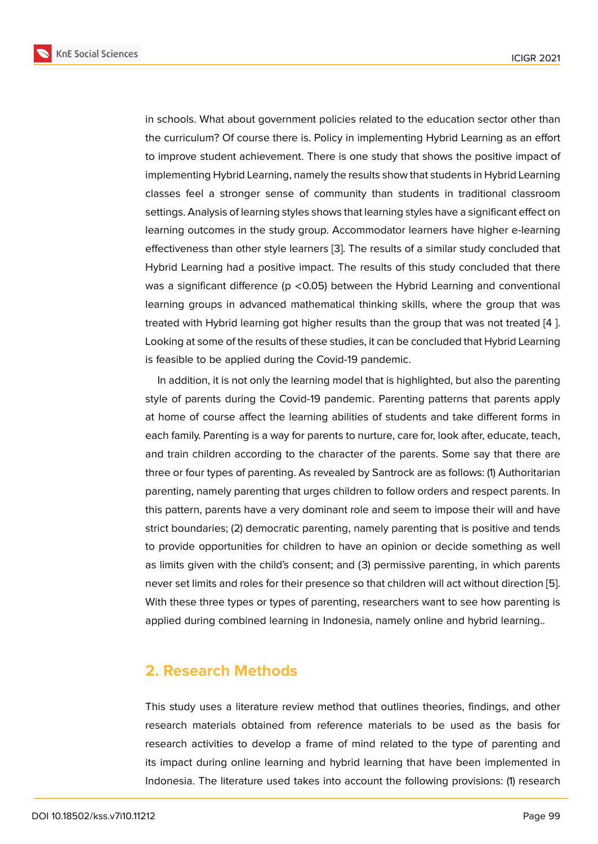in schools. What about government policies related to the education sector other than the curriculum? Of course there is. Policy in implementing Hybrid Learning as an effort to improve student achievement. There is one study that shows the positive impact of implementing Hybrid Learning, namely the results show that students in Hybrid Learning classes feel a stronger sense of community than students in traditional classroom settings. Analysis of learning styles shows that learning styles have a significant effect on learning outcomes in the study group. Accommodator learners have higher e-learning effectiveness than other style learners [3]. The results of a similar study concluded that Hybrid Learning had a positive impact. The results of this study concluded that there was a significant difference (p <0.05) between the Hybrid Learning and conventional learning groups in advanced mathem[ati](#page-5-2)cal thinking skills, where the group that was treated with Hybrid learning got higher results than the group that was not treated [4 ]. Looking at some of the results of these studies, it can be concluded that Hybrid Learning is feasible to be applied during the Covid-19 pandemic.

In addition, it is not only the learning model that is highlighted, but also the parenting style of parents during the Covid-19 pandemic. Parenting patterns that parents apply at home of course affect the learning abilities of students and take different forms in each family. Parenting is a way for parents to nurture, care for, look after, educate, teach, and train children according to the character of the parents. Some say that there are three or four types of parenting. As revealed by Santrock are as follows: (1) Authoritarian parenting, namely parenting that urges children to follow orders and respect parents. In this pattern, parents have a very dominant role and seem to impose their will and have strict boundaries; (2) democratic parenting, namely parenting that is positive and tends to provide opportunities for children to have an opinion or decide something as well as limits given with the child's consent; and (3) permissive parenting, in which parents never set limits and roles for their presence so that children will act without direction [5]. With these three types or types of parenting, researchers want to see how parenting is applied during combined learning in Indonesia, namely online and hybrid learning..

### **2. Research Methods**

This study uses a literature review method that outlines theories, findings, and other research materials obtained from reference materials to be used as the basis for research activities to develop a frame of mind related to the type of parenting and its impact during online learning and hybrid learning that have been implemented in Indonesia. The literature used takes into account the following provisions: (1) research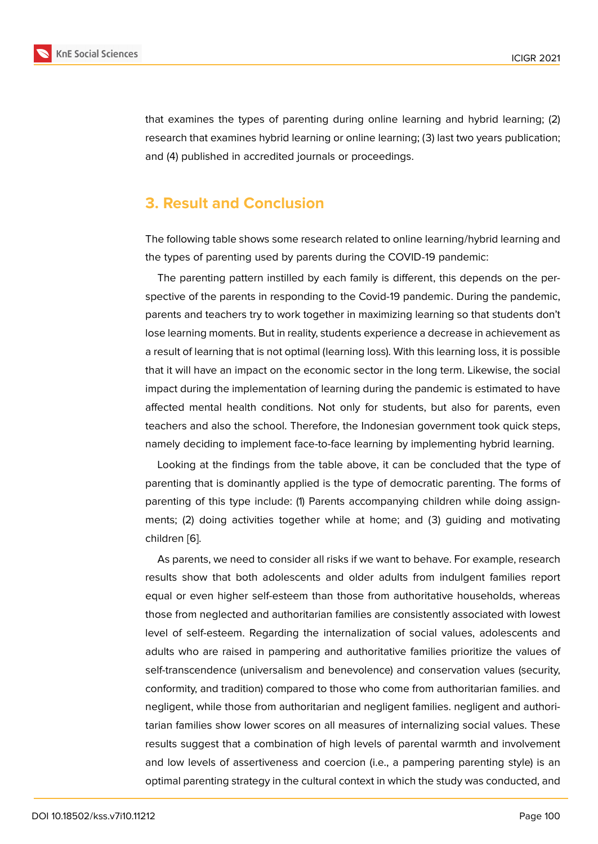that examines the types of parenting during online learning and hybrid learning; (2) research that examines hybrid learning or online learning; (3) last two years publication; and (4) published in accredited journals or proceedings.

### **3. Result and Conclusion**

The following table shows some research related to online learning/hybrid learning and the types of parenting used by parents during the COVID-19 pandemic:

The parenting pattern instilled by each family is different, this depends on the perspective of the parents in responding to the Covid-19 pandemic. During the pandemic, parents and teachers try to work together in maximizing learning so that students don't lose learning moments. But in reality, students experience a decrease in achievement as a result of learning that is not optimal (learning loss). With this learning loss, it is possible that it will have an impact on the economic sector in the long term. Likewise, the social impact during the implementation of learning during the pandemic is estimated to have affected mental health conditions. Not only for students, but also for parents, even teachers and also the school. Therefore, the Indonesian government took quick steps, namely deciding to implement face-to-face learning by implementing hybrid learning.

Looking at the findings from the table above, it can be concluded that the type of parenting that is dominantly applied is the type of democratic parenting. The forms of parenting of this type include: (1) Parents accompanying children while doing assignments; (2) doing activities together while at home; and (3) guiding and motivating children [6].

As parents, we need to consider all risks if we want to behave. For example, research results show that both adolescents and older adults from indulgent families report equal or [ev](#page-5-3)en higher self-esteem than those from authoritative households, whereas those from neglected and authoritarian families are consistently associated with lowest level of self-esteem. Regarding the internalization of social values, adolescents and adults who are raised in pampering and authoritative families prioritize the values of self-transcendence (universalism and benevolence) and conservation values (security, conformity, and tradition) compared to those who come from authoritarian families. and negligent, while those from authoritarian and negligent families. negligent and authoritarian families show lower scores on all measures of internalizing social values. These results suggest that a combination of high levels of parental warmth and involvement and low levels of assertiveness and coercion (i.e., a pampering parenting style) is an optimal parenting strategy in the cultural context in which the study was conducted, and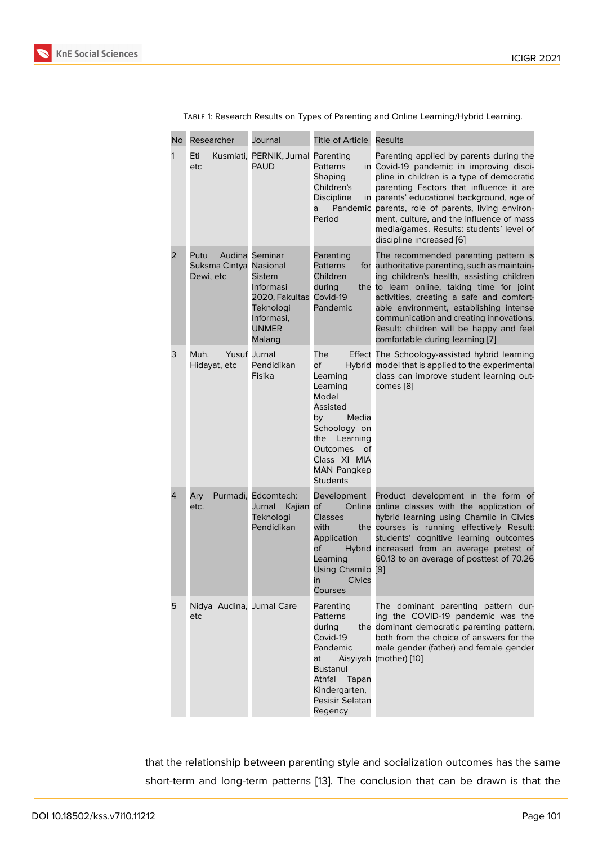| No | Researcher                                  | Journal                                                                                                      | Title of Article                                                                                                                                                                           | <b>Results</b>                                                                                                                                                                                                                                                                                                                                                                                      |
|----|---------------------------------------------|--------------------------------------------------------------------------------------------------------------|--------------------------------------------------------------------------------------------------------------------------------------------------------------------------------------------|-----------------------------------------------------------------------------------------------------------------------------------------------------------------------------------------------------------------------------------------------------------------------------------------------------------------------------------------------------------------------------------------------------|
| 1  | Eti<br>Kusmiati,<br>etc                     | PERNIK, Jurnal Parenting<br><b>PAUD</b>                                                                      | Patterns<br>Shaping<br>Children's<br><b>Discipline</b><br>a<br>Period                                                                                                                      | Parenting applied by parents during the<br>in Covid-19 pandemic in improving disci-<br>pline in children is a type of democratic<br>parenting Factors that influence it are<br>in parents' educational background, age of<br>Pandemic parents, role of parents, living environ-<br>ment, culture, and the influence of mass<br>media/games. Results: students' level of<br>discipline increased [6] |
| 2  | Putu<br>Suksma Cintya Nasional<br>Dewi, etc | Audina Seminar<br>Sistem<br>Informasi<br>2020, Fakultas<br>Teknologi<br>Informasi,<br><b>UNMER</b><br>Malang | Parenting<br>Patterns<br>Children<br>during<br>Covid-19<br>Pandemic                                                                                                                        | The recommended parenting pattern is<br>for authoritative parenting, such as maintain-<br>ing children's health, assisting children<br>the to learn online, taking time for joint<br>activities, creating a safe and comfort-<br>able environment, establishing intense<br>communication and creating innovations.<br>Result: children will be happy and feel<br>comfortable during learning [7]    |
| 3  | Muh.<br>Hidayat, etc                        | <b>Yusuf Jurnal</b><br>Pendidikan<br>Fisika                                                                  | The<br>оf<br>Learning<br>Learning<br>Model<br>Assisted<br>by<br>Media<br>Schoology on<br>the<br>Learning<br><b>Outcomes</b><br>Οf<br>Class XI MIA<br><b>MAN Pangkep</b><br><b>Students</b> | Effect The Schoology-assisted hybrid learning<br>Hybrid model that is applied to the experimental<br>class can improve student learning out-<br>comes [8]                                                                                                                                                                                                                                           |
| 4  | Ary<br>etc.                                 | Purmadi, Edcomtech:<br>Jurnal<br>Kajian<br>Teknologi<br>Pendidikan                                           | Development<br><b>of</b><br><b>Classes</b><br>with<br>Application<br>оf<br>Learning<br>Using Chamilo [9]<br><b>Civics</b><br>in<br>Courses                                                 | Product development in the form of<br>Online online classes with the application of<br>hybrid learning using Chamilo in Civics<br>the courses is running effectively Result:<br>students' cognitive learning outcomes<br>Hybrid increased from an average pretest of<br>60.13 to an average of posttest of 70.26                                                                                    |
| 5  | Nidya Audina, Jurnal Care<br>etc            |                                                                                                              | Parenting<br>Patterns<br>during<br>Covid-19<br>Pandemic<br>at<br><b>Bustanul</b><br>Athfal<br>Tapan<br>Kindergarten,<br>Pesisir Selatan<br>Regency                                         | The dominant parenting pattern dur-<br>ing the COVID-19 pandemic was the<br>the dominant democratic parenting pattern,<br>both from the choice of answers for the<br>male gender (father) and female gender<br>Aisyiyah (mother) [10]                                                                                                                                                               |

Table 1: Research Results on Types of Parenting and Online Learning/Hybrid Learning.

that the relationship between parenting style and socialization outcomes has the same short-term and long-term patterns [13]. The conclusion that can be drawn is that the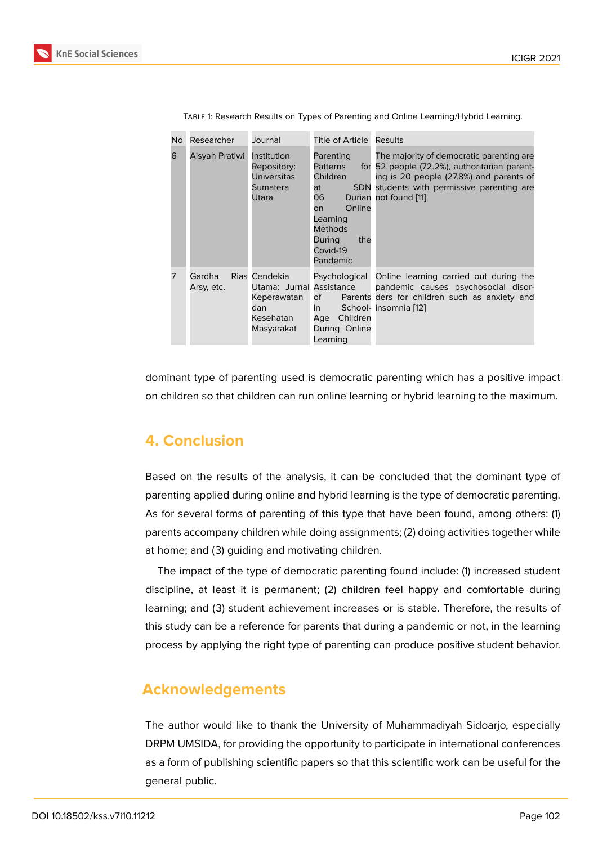| No | Researcher           | Journal                                                                                    | Title of Article Results                                                                                                                       |                                                                                                                                                                                                             |
|----|----------------------|--------------------------------------------------------------------------------------------|------------------------------------------------------------------------------------------------------------------------------------------------|-------------------------------------------------------------------------------------------------------------------------------------------------------------------------------------------------------------|
| 6  | Aisyah Pratiwi       | Institution<br>Repository:<br><b>Universitas</b><br>Sumatera<br>Utara                      | Parenting<br><b>Patterns</b><br>Children<br>at<br>06 -<br>Online<br>on.<br>Learning<br><b>Methods</b><br>the<br>During<br>Covid-19<br>Pandemic | The majority of democratic parenting are.<br>for 52 people (72.2%), authoritarian parent-<br>ing is 20 people (27.8%) and parents of<br>SDN students with permissive parenting are<br>Durian not found [11] |
|    | Gardha<br>Arsy, etc. | Rias Cendekia<br>Utama: Jurnal Assistance<br>Keperawatan<br>dan<br>Kesehatan<br>Masyarakat | of<br>in<br>Children<br>Age<br>During Online<br>Learning                                                                                       | Psychological Online learning carried out during the<br>pandemic causes psychosocial disor-<br>Parents ders for children such as anxiety and<br>School- insomnia [12]                                       |

Table 1: Research Results on Types of Parenting and Online Learning/Hybrid Learning.

dominant type of parenting used is democratic parenting which has a positive impact on children so that children can run online learning or hybrid learning to the maximum.

### **4. Conclusion**

Based on the results of the analysis, it can be concluded that the dominant type of parenting applied during online and hybrid learning is the type of democratic parenting. As for several forms of parenting of this type that have been found, among others: (1) parents accompany children while doing assignments; (2) doing activities together while at home; and (3) guiding and motivating children.

The impact of the type of democratic parenting found include: (1) increased student discipline, at least it is permanent; (2) children feel happy and comfortable during learning; and (3) student achievement increases or is stable. Therefore, the results of this study can be a reference for parents that during a pandemic or not, in the learning process by applying the right type of parenting can produce positive student behavior.

### **Acknowledgements**

The author would like to thank the University of Muhammadiyah Sidoarjo, especially DRPM UMSIDA, for providing the opportunity to participate in international conferences as a form of publishing scientific papers so that this scientific work can be useful for the general public.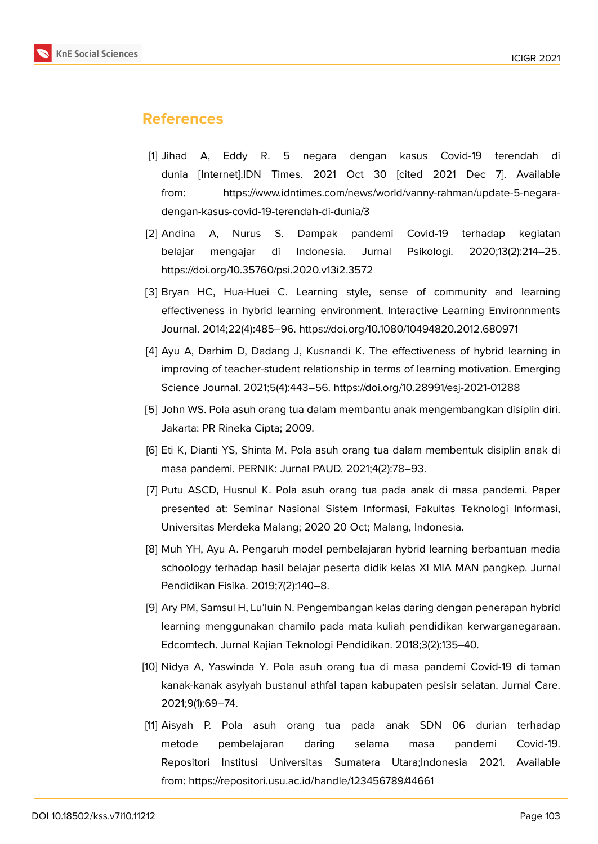

## **References**

- <span id="page-5-0"></span>[1] Jihad A, Eddy R. 5 negara dengan kasus Covid-19 terendah di dunia [Internet].IDN Times. 2021 Oct 30 [cited 2021 Dec 7]. Available from: https://www.idntimes.com/news/world/vanny-rahman/update-5-negaradengan-kasus-covid-19-terendah-di-dunia/3
- <span id="page-5-1"></span>[2] Andina A, Nurus S. Dampak pandemi Covid-19 terhadap kegiatan belajar mengajar di Indonesia. Jurnal Psikologi. 2020;13(2):214–25. https://doi.org/10.35760/psi.2020.v13i2.3572
- <span id="page-5-2"></span>[3] Bryan HC, Hua-Huei C, Learning style, sense of community and learning effectiveness in hybrid learning environment. Interactive Learning Environnments Journal. 2014;22(4):485–96. https://doi.org/10.1080/10494820.2012.680971
- [4] Ayu A, Darhim D, Dadang J, Kusnandi K. The effectiveness of hybrid learning in improving of teacher-student relationship in terms of learning motivation. Emerging Science Journal. 2021;5(4):443–56. https://doi.org/10.28991/esj-2021-01288
- [5] John WS. Pola asuh orang tua dalam membantu anak mengembangkan disiplin diri. Jakarta: PR Rineka Cipta; 2009.
- <span id="page-5-3"></span>[6] Eti K, Dianti YS, Shinta M. Pola asuh orang tua dalam membentuk disiplin anak di masa pandemi. PERNIK: Jurnal PAUD. 2021;4(2):78–93.
- [7] Putu ASCD, Husnul K. Pola asuh orang tua pada anak di masa pandemi. Paper presented at: Seminar Nasional Sistem Informasi, Fakultas Teknologi Informasi, Universitas Merdeka Malang; 2020 20 Oct; Malang, Indonesia.
- [8] Muh YH, Ayu A. Pengaruh model pembelajaran hybrid learning berbantuan media schoology terhadap hasil belajar peserta didik kelas XI MIA MAN pangkep. Jurnal Pendidikan Fisika. 2019;7(2):140–8.
- <span id="page-5-4"></span>[9] Ary PM, Samsul H, Lu'luin N. Pengembangan kelas daring dengan penerapan hybrid learning menggunakan chamilo pada mata kuliah pendidikan kerwarganegaraan. Edcomtech. Jurnal Kajian Teknologi Pendidikan. 2018;3(2):135–40.
- [10] Nidya A, Yaswinda Y. Pola asuh orang tua di masa pandemi Covid-19 di taman kanak-kanak asyiyah bustanul athfal tapan kabupaten pesisir selatan. Jurnal Care. 2021;9(1):69–74.
- [11] Aisyah P. Pola asuh orang tua pada anak SDN 06 durian terhadap metode pembelajaran daring selama masa pandemi Covid-19. Repositori Institusi Universitas Sumatera Utara;Indonesia 2021. Available from: https://repositori.usu.ac.id/handle/123456789/44661